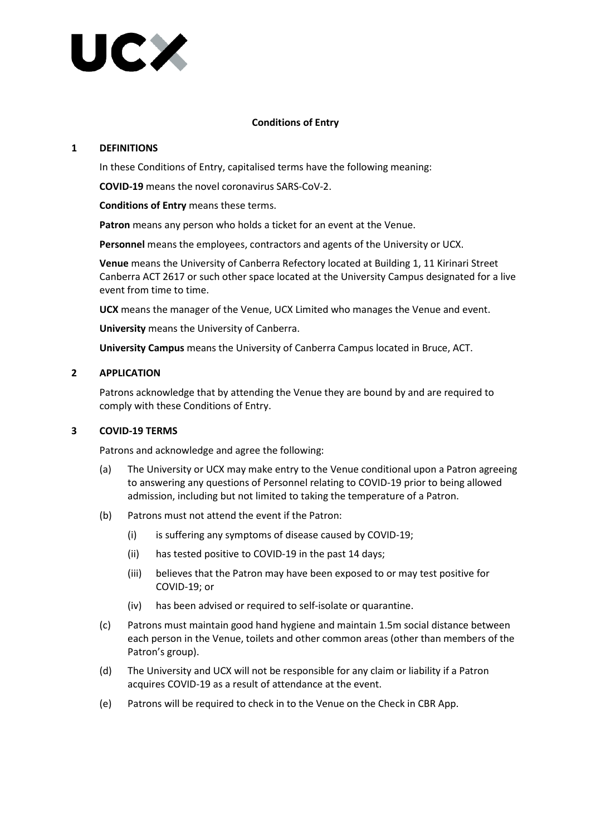

## **Conditions of Entry**

### **1 DEFINITIONS**

In these Conditions of Entry, capitalised terms have the following meaning:

**COVID-19** means the novel coronavirus SARS-CoV-2.

**Conditions of Entry** means these terms.

**Patron** means any person who holds a ticket for an event at the Venue.

**Personnel** means the employees, contractors and agents of the University or UCX.

**Venue** means the University of Canberra Refectory located at Building 1, 11 Kirinari Street Canberra ACT 2617 or such other space located at the University Campus designated for a live event from time to time.

**UCX** means the manager of the Venue, UCX Limited who manages the Venue and event.

**University** means the University of Canberra.

**University Campus** means the University of Canberra Campus located in Bruce, ACT.

### **2 APPLICATION**

Patrons acknowledge that by attending the Venue they are bound by and are required to comply with these Conditions of Entry.

### **3 COVID-19 TERMS**

Patrons and acknowledge and agree the following:

- (a) The University or UCX may make entry to the Venue conditional upon a Patron agreeing to answering any questions of Personnel relating to COVID-19 prior to being allowed admission, including but not limited to taking the temperature of a Patron.
- (b) Patrons must not attend the event if the Patron:
	- (i) is suffering any symptoms of disease caused by COVID-19;
	- (ii) has tested positive to COVID-19 in the past 14 days;
	- (iii) believes that the Patron may have been exposed to or may test positive for COVID-19; or
	- (iv) has been advised or required to self-isolate or quarantine.
- (c) Patrons must maintain good hand hygiene and maintain 1.5m social distance between each person in the Venue, toilets and other common areas (other than members of the Patron's group).
- (d) The University and UCX will not be responsible for any claim or liability if a Patron acquires COVID-19 as a result of attendance at the event.
- (e) Patrons will be required to check in to the Venue on the Check in CBR App.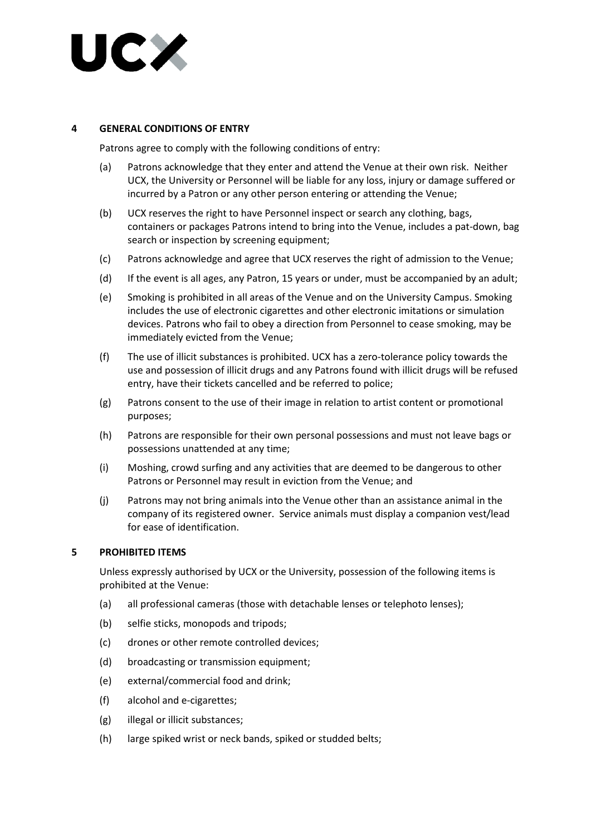

## **4 GENERAL CONDITIONS OF ENTRY**

Patrons agree to comply with the following conditions of entry:

- (a) Patrons acknowledge that they enter and attend the Venue at their own risk. Neither UCX, the University or Personnel will be liable for any loss, injury or damage suffered or incurred by a Patron or any other person entering or attending the Venue;
- (b) UCX reserves the right to have Personnel inspect or search any clothing, bags, containers or packages Patrons intend to bring into the Venue, includes a pat-down, bag search or inspection by screening equipment;
- (c) Patrons acknowledge and agree that UCX reserves the right of admission to the Venue;
- (d) If the event is all ages, any Patron, 15 years or under, must be accompanied by an adult;
- (e) Smoking is prohibited in all areas of the Venue and on the University Campus. Smoking includes the use of electronic cigarettes and other electronic imitations or simulation devices. Patrons who fail to obey a direction from Personnel to cease smoking, may be immediately evicted from the Venue;
- (f) The use of illicit substances is prohibited. UCX has a zero-tolerance policy towards the use and possession of illicit drugs and any Patrons found with illicit drugs will be refused entry, have their tickets cancelled and be referred to police;
- (g) Patrons consent to the use of their image in relation to artist content or promotional purposes;
- (h) Patrons are responsible for their own personal possessions and must not leave bags or possessions unattended at any time;
- (i) Moshing, crowd surfing and any activities that are deemed to be dangerous to other Patrons or Personnel may result in eviction from the Venue; and
- (j) Patrons may not bring animals into the Venue other than an assistance animal in the company of its registered owner. Service animals must display a companion vest/lead for ease of identification.

### **5 PROHIBITED ITEMS**

Unless expressly authorised by UCX or the University, possession of the following items is prohibited at the Venue:

- (a) all professional cameras (those with detachable lenses or telephoto lenses);
- (b) selfie sticks, monopods and tripods;
- (c) drones or other remote controlled devices;
- (d) broadcasting or transmission equipment;
- (e) external/commercial food and drink;
- (f) alcohol and e-cigarettes;
- (g) illegal or illicit substances;
- (h) large spiked wrist or neck bands, spiked or studded belts;